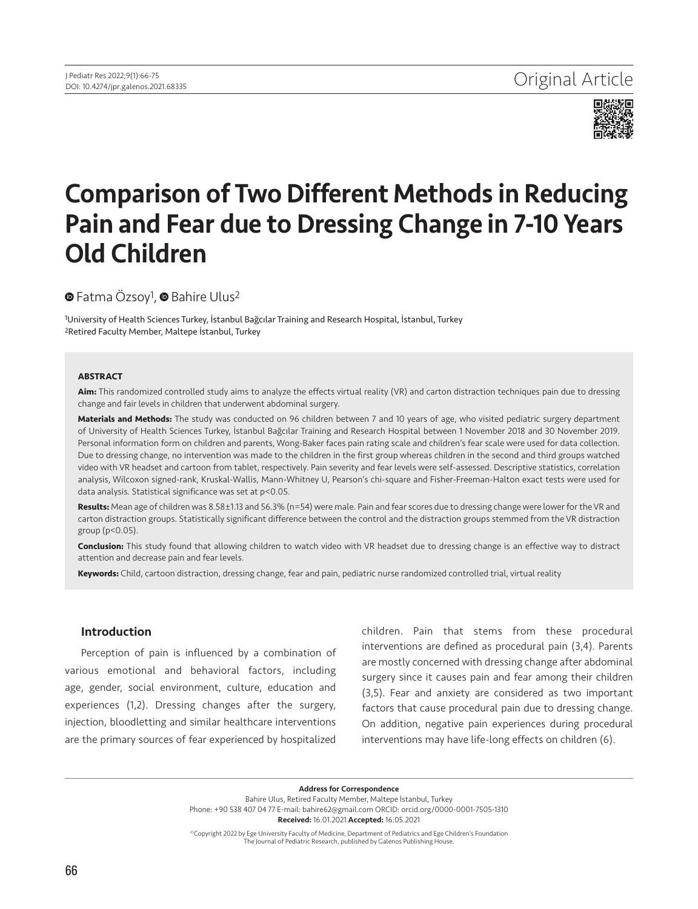

# Comparison of Two Different Methods in Reducing Pain and Fear due to Dressing Change in 7-10 Years Old Children

# **■**Fatma Özsoy<sup>1</sup>, ■ Bahire Ulus<sup>2</sup>

1University of Health Sciences Turkey, İstanbul Bağcılar Training and Research Hospital, İstanbul, Turkey 2Retired Faculty Member, Maltepe İstanbul, Turkey

#### **ABSTRACT**

**Aim:** This randomized controlled study aims to analyze the effects virtual reality (VR) and carton distraction techniques pain due to dressing change and fair levels in children that underwent abdominal surgery.

**Materials and Methods:** The study was conducted on 96 children between 7 and 10 years of age, who visited pediatric surgery department of University of Health Sciences Turkey, İstanbul Bağcılar Training and Research Hospital between 1 November 2018 and 30 November 2019. Personal information form on children and parents, Wong-Baker faces pain rating scale and children's fear scale were used for data collection. Due to dressing change, no intervention was made to the children in the first group whereas children in the second and third groups watched video with VR headset and cartoon from tablet, respectively. Pain severity and fear levels were self-assessed. Descriptive statistics, correlation analysis, Wilcoxon signed-rank, Kruskal-Wallis, Mann-Whitney U, Pearson's chi-square and Fisher-Freeman-Halton exact tests were used for data analysis. Statistical significance was set at p<0.05.

**Results:** Mean age of children was 8.58±1.13 and 56.3% (n=54) were male. Pain and fear scores due to dressing change were lower for the VR and carton distraction groups. Statistically significant difference between the control and the distraction groups stemmed from the VR distraction group (p<0.05).

**Conclusion:** This study found that allowing children to watch video with VR headset due to dressing change is an effective way to distract attention and decrease pain and fear levels.

**Keywords:** Child, cartoon distraction, dressing change, fear and pain, pediatric nurse randomized controlled trial, virtual reality

# Introduction

Perception of pain is influenced by a combination of various emotional and behavioral factors, including age, gender, social environment, culture, education and experiences (1,2). Dressing changes after the surgery, injection, bloodletting and similar healthcare interventions are the primary sources of fear experienced by hospitalized children. Pain that stems from these procedural interventions are defined as procedural pain (3,4). Parents are mostly concerned with dressing change after abdominal surgery since it causes pain and fear among their children (3,5). Fear and anxiety are considered as two important factors that cause procedural pain due to dressing change. On addition, negative pain experiences during procedural interventions may have life-long effects on children (6).

Address for Correspondence Bahire Ulus, Retired Faculty Member, Maltepe İstanbul, Turkey Phone: +90 538 407 04 77 E-mail: bahire62@gmail.com ORCID: orcid.org/0000-0001-7505-1310 Received: 16.01.2021 Accepted: 16.05.2021

©Copyright 2022 by Ege University Faculty of Medicine, Department of Pediatrics and Ege Children's Foundation The Journal of Pediatric Research, published by Galenos Publishing House.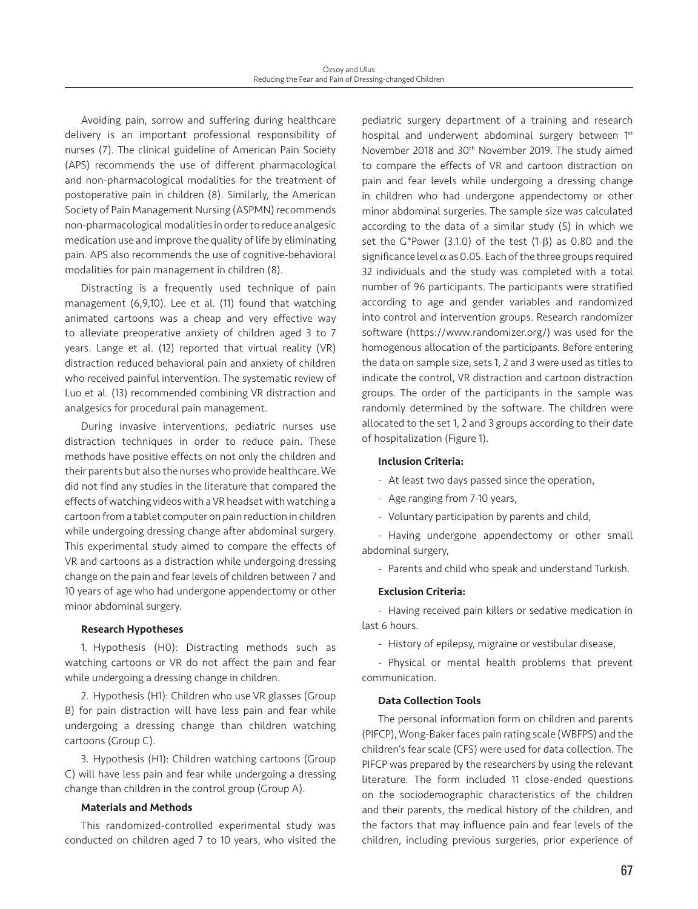Avoiding pain, sorrow and suffering during healthcare delivery is an important professional responsibility of nurses (7). The clinical guideline of American Pain Society (APS) recommends the use of different pharmacological and non-pharmacological modalities for the treatment of postoperative pain in children (8). Similarly, the American Society of Pain Management Nursing (ASPMN) recommends non-pharmacological modalities in order to reduce analgesic medication use and improve the quality of life by eliminating pain. APS also recommends the use of cognitive-behavioral modalities for pain management in children (8).

Distracting is a frequently used technique of pain management (6,9,10). Lee et al. (11) found that watching animated cartoons was a cheap and very effective way to alleviate preoperative anxiety of children aged 3 to 7 years. Lange et al. (12) reported that virtual reality (VR) distraction reduced behavioral pain and anxiety of children who received painful intervention. The systematic review of Luo et al. (13) recommended combining VR distraction and analgesics for procedural pain management.

During invasive interventions, pediatric nurses use distraction techniques in order to reduce pain. These methods have positive effects on not only the children and their parents but also the nurses who provide healthcare. We did not find any studies in the literature that compared the effects of watching videos with a VR headset with watching a cartoon from a tablet computer on pain reduction in children while undergoing dressing change after abdominal surgery. This experimental study aimed to compare the effects of VR and cartoons as a distraction while undergoing dressing change on the pain and fear levels of children between 7 and 10 years of age who had undergone appendectomy or other minor abdominal surgery.

## Research Hypotheses

1. Hypothesis (H0): Distracting methods such as watching cartoons or VR do not affect the pain and fear while undergoing a dressing change in children.

2. Hypothesis (H1): Children who use VR glasses (Group B) for pain distraction will have less pain and fear while undergoing a dressing change than children watching cartoons (Group C).

3. Hypothesis (H1): Children watching cartoons (Group C) will have less pain and fear while undergoing a dressing change than children in the control group (Group A).

## Materials and Methods

This randomized-controlled experimental study was conducted on children aged 7 to 10 years, who visited the pediatric surgery department of a training and research hospital and underwent abdominal surgery between 1st November 2018 and 30th November 2019. The study aimed to compare the effects of VR and cartoon distraction on pain and fear levels while undergoing a dressing change in children who had undergone appendectomy or other minor abdominal surgeries. The sample size was calculated according to the data of a similar study (5) in which we set the G\*Power (3.1.0) of the test (1-β) as 0.80 and the significance level  $\alpha$  as 0.05. Each of the three groups required 32 individuals and the study was completed with a total number of 96 participants. The participants were stratified according to age and gender variables and randomized into control and intervention groups. Research randomizer software (https://www.randomizer.org/) was used for the homogenous allocation of the participants. Before entering the data on sample size, sets 1, 2 and 3 were used as titles to indicate the control, VR distraction and cartoon distraction groups. The order of the participants in the sample was randomly determined by the software. The children were allocated to the set 1, 2 and 3 groups according to their date of hospitalization (Figure 1).

## Inclusion Criteria:

- At least two days passed since the operation,
- Age ranging from 7-10 years,
- Voluntary participation by parents and child,

- Having undergone appendectomy or other small abdominal surgery,

- Parents and child who speak and understand Turkish.

# Exclusion Criteria:

- Having received pain killers or sedative medication in last 6 hours.

- History of epilepsy, migraine or vestibular disease,

- Physical or mental health problems that prevent communication.

#### Data Collection Tools

The personal information form on children and parents (PIFCP), Wong-Baker faces pain rating scale (WBFPS) and the children's fear scale (CFS) were used for data collection. The PIFCP was prepared by the researchers by using the relevant literature. The form included 11 close-ended questions on the sociodemographic characteristics of the children and their parents, the medical history of the children, and the factors that may influence pain and fear levels of the children, including previous surgeries, prior experience of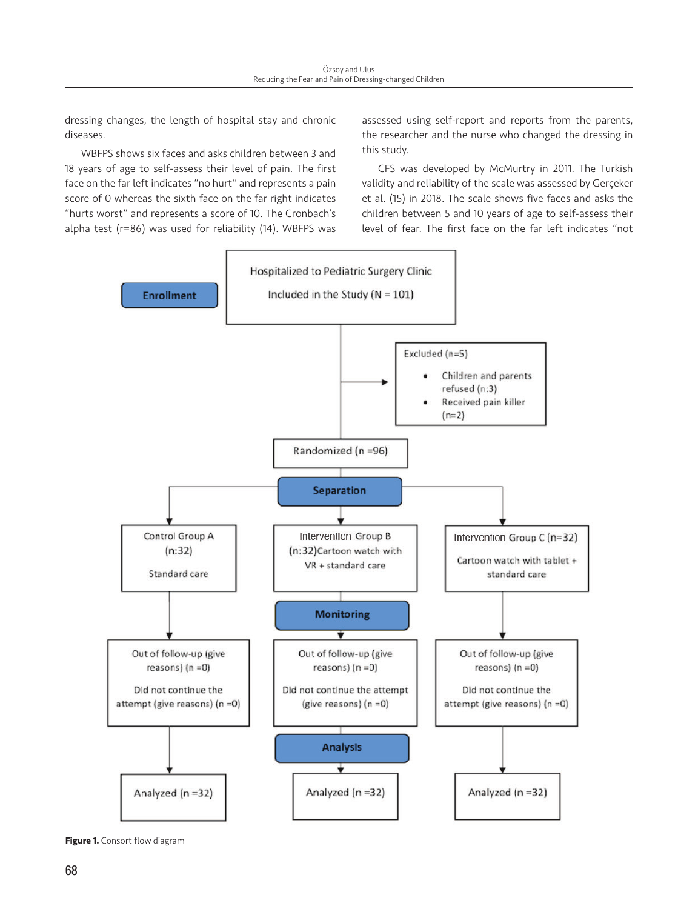dressing changes, the length of hospital stay and chronic diseases.

WBFPS shows six faces and asks children between 3 and 18 years of age to self-assess their level of pain. The first face on the far left indicates "no hurt" and represents a pain score of 0 whereas the sixth face on the far right indicates "hurts worst" and represents a score of 10. The Cronbach's alpha test (r=86) was used for reliability (14). WBFPS was

assessed using self-report and reports from the parents, the researcher and the nurse who changed the dressing in this study.

CFS was developed by McMurtry in 2011. The Turkish validity and reliability of the scale was assessed by Gerçeker et al. (15) in 2018. The scale shows five faces and asks the children between 5 and 10 years of age to self-assess their level of fear. The first face on the far left indicates "not



**Figure 1.** Consort flow diagram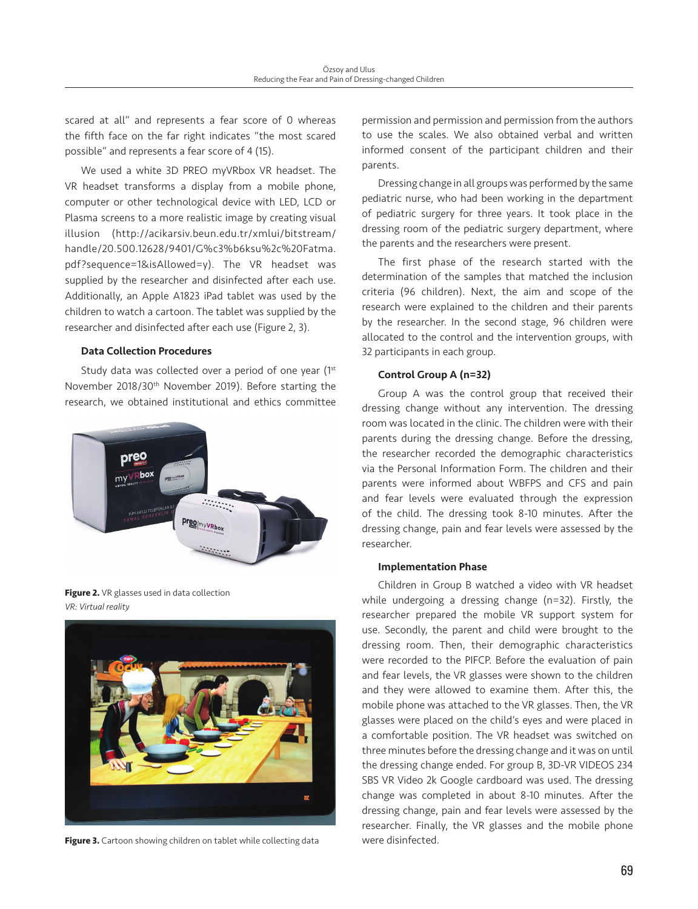scared at all" and represents a fear score of 0 whereas the fifth face on the far right indicates "the most scared possible" and represents a fear score of 4 (15).

We used a white 3D PREO myVRbox VR headset. The VR headset transforms a display from a mobile phone, computer or other technological device with LED, LCD or Plasma screens to a more realistic image by creating visual illusion (http://acikarsiv.beun.edu.tr/xmlui/bitstream/ handle/20.500.12628/9401/G%c3%b6ksu%2c%20Fatma. pdf?sequence=1&isAllowed=y). The VR headset was supplied by the researcher and disinfected after each use. Additionally, an Apple A1823 iPad tablet was used by the children to watch a cartoon. The tablet was supplied by the researcher and disinfected after each use (Figure 2, 3).

#### Data Collection Procedures

Study data was collected over a period of one year (1st November 2018/30th November 2019). Before starting the research, we obtained institutional and ethics committee



**Figure 2.** VR glasses used in data collection *VR: Virtual reality*



**Figure 3.** Cartoon showing children on tablet while collecting data

permission and permission and permission from the authors to use the scales. We also obtained verbal and written informed consent of the participant children and their parents.

Dressing change in all groups was performed by the same pediatric nurse, who had been working in the department of pediatric surgery for three years. It took place in the dressing room of the pediatric surgery department, where the parents and the researchers were present.

The first phase of the research started with the determination of the samples that matched the inclusion criteria (96 children). Next, the aim and scope of the research were explained to the children and their parents by the researcher. In the second stage, 96 children were allocated to the control and the intervention groups, with 32 participants in each group.

#### Control Group A (n=32)

Group A was the control group that received their dressing change without any intervention. The dressing room was located in the clinic. The children were with their parents during the dressing change. Before the dressing, the researcher recorded the demographic characteristics via the Personal Information Form. The children and their parents were informed about WBFPS and CFS and pain and fear levels were evaluated through the expression of the child. The dressing took 8-10 minutes. After the dressing change, pain and fear levels were assessed by the researcher.

#### Implementation Phase

Children in Group B watched a video with VR headset while undergoing a dressing change (n=32). Firstly, the researcher prepared the mobile VR support system for use. Secondly, the parent and child were brought to the dressing room. Then, their demographic characteristics were recorded to the PIFCP. Before the evaluation of pain and fear levels, the VR glasses were shown to the children and they were allowed to examine them. After this, the mobile phone was attached to the VR glasses. Then, the VR glasses were placed on the child's eyes and were placed in a comfortable position. The VR headset was switched on three minutes before the dressing change and it was on until the dressing change ended. For group B, 3D-VR VIDEOS 234 SBS VR Video 2k Google cardboard was used. The dressing change was completed in about 8-10 minutes. After the dressing change, pain and fear levels were assessed by the researcher. Finally, the VR glasses and the mobile phone were disinfected.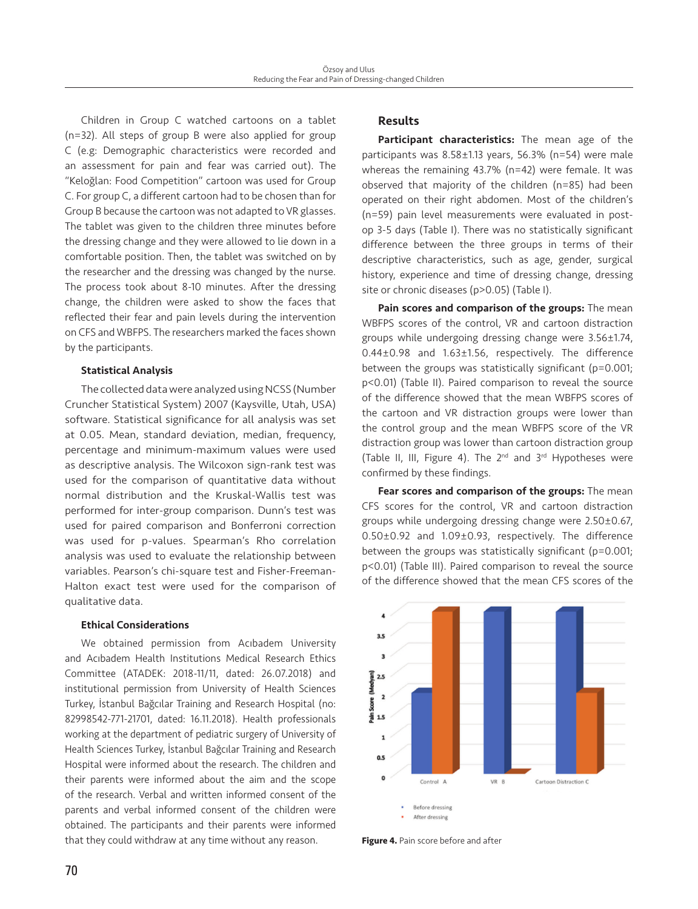Children in Group C watched cartoons on a tablet (n=32). All steps of group B were also applied for group C (e.g: Demographic characteristics were recorded and an assessment for pain and fear was carried out). The "Keloğlan: Food Competition" cartoon was used for Group C. For group C, a different cartoon had to be chosen than for Group B because the cartoon was not adapted to VR glasses. The tablet was given to the children three minutes before the dressing change and they were allowed to lie down in a comfortable position. Then, the tablet was switched on by the researcher and the dressing was changed by the nurse. The process took about 8-10 minutes. After the dressing change, the children were asked to show the faces that reflected their fear and pain levels during the intervention on CFS and WBFPS. The researchers marked the faces shown by the participants.

#### Statistical Analysis

The collected data were analyzed using NCSS (Number Cruncher Statistical System) 2007 (Kaysville, Utah, USA) software. Statistical significance for all analysis was set at 0.05. Mean, standard deviation, median, frequency, percentage and minimum-maximum values were used as descriptive analysis. The Wilcoxon sign-rank test was used for the comparison of quantitative data without normal distribution and the Kruskal-Wallis test was performed for inter-group comparison. Dunn's test was used for paired comparison and Bonferroni correction was used for p-values. Spearman's Rho correlation analysis was used to evaluate the relationship between variables. Pearson's chi-square test and Fisher-Freeman-Halton exact test were used for the comparison of qualitative data.

# Ethical Considerations

We obtained permission from Acıbadem University and Acıbadem Health Institutions Medical Research Ethics Committee (ATADEK: 2018-11/11, dated: 26.07.2018) and institutional permission from University of Health Sciences Turkey, İstanbul Bağcılar Training and Research Hospital (no: 82998542-771-21701, dated: 16.11.2018). Health professionals working at the department of pediatric surgery of University of Health Sciences Turkey, İstanbul Bağcılar Training and Research Hospital were informed about the research. The children and their parents were informed about the aim and the scope of the research. Verbal and written informed consent of the parents and verbal informed consent of the children were obtained. The participants and their parents were informed that they could withdraw at any time without any reason.

# Results

Participant characteristics: The mean age of the participants was 8.58±1.13 years, 56.3% (n=54) were male whereas the remaining 43.7% (n=42) were female. It was observed that majority of the children (n=85) had been operated on their right abdomen. Most of the children's (n=59) pain level measurements were evaluated in postop 3-5 days (Table I). There was no statistically significant difference between the three groups in terms of their descriptive characteristics, such as age, gender, surgical history, experience and time of dressing change, dressing site or chronic diseases (p>0.05) (Table I).

Pain scores and comparison of the groups: The mean WBFPS scores of the control, VR and cartoon distraction groups while undergoing dressing change were 3.56±1.74, 0.44±0.98 and 1.63±1.56, respectively. The difference between the groups was statistically significant (p=0.001; p<0.01) (Table II). Paired comparison to reveal the source of the difference showed that the mean WBFPS scores of the cartoon and VR distraction groups were lower than the control group and the mean WBFPS score of the VR distraction group was lower than cartoon distraction group (Table II, III, Figure 4). The 2nd and 3rd Hypotheses were confirmed by these findings.

Fear scores and comparison of the groups: The mean CFS scores for the control, VR and cartoon distraction groups while undergoing dressing change were 2.50±0.67, 0.50±0.92 and 1.09±0.93, respectively. The difference between the groups was statistically significant (p=0.001; p<0.01) (Table III). Paired comparison to reveal the source of the difference showed that the mean CFS scores of the



**Figure 4.** Pain score before and after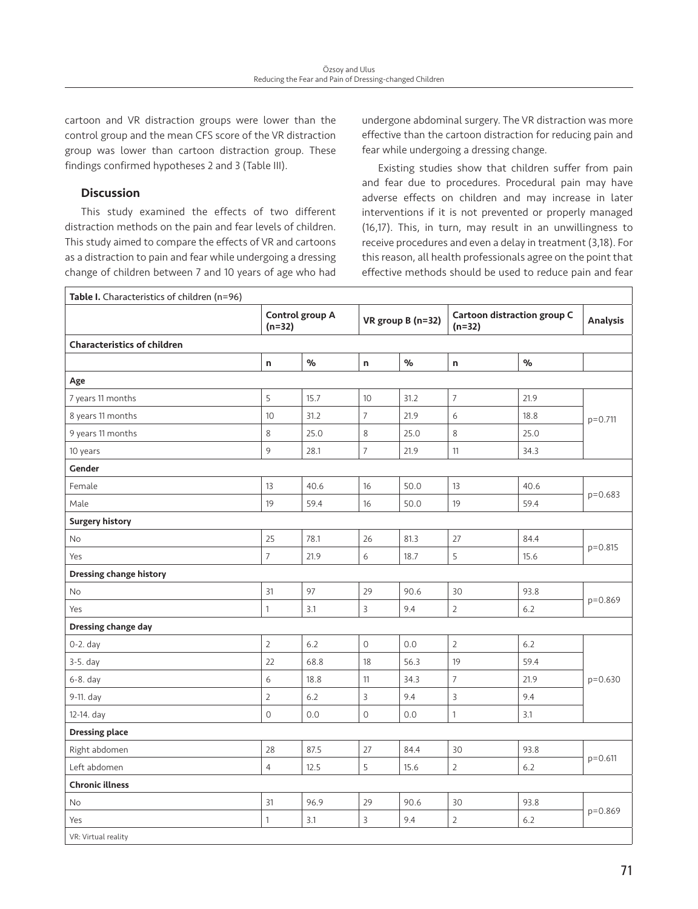cartoon and VR distraction groups were lower than the control group and the mean CFS score of the VR distraction group was lower than cartoon distraction group. These findings confirmed hypotheses 2 and 3 (Table III).

# **Discussion**

This study examined the effects of two different distraction methods on the pain and fear levels of children. This study aimed to compare the effects of VR and cartoons as a distraction to pain and fear while undergoing a dressing change of children between 7 and 10 years of age who had undergone abdominal surgery. The VR distraction was more effective than the cartoon distraction for reducing pain and fear while undergoing a dressing change.

Existing studies show that children suffer from pain and fear due to procedures. Procedural pain may have adverse effects on children and may increase in later interventions if it is not prevented or properly managed (16,17). This, in turn, may result in an unwillingness to receive procedures and even a delay in treatment (3,18). For this reason, all health professionals agree on the point that effective methods should be used to reduce pain and fear

| Table I. Characteristics of children (n=96) |                             |      |                   |      |                                                |      |                 |  |
|---------------------------------------------|-----------------------------|------|-------------------|------|------------------------------------------------|------|-----------------|--|
|                                             | Control group A<br>$(n=32)$ |      | VR group B (n=32) |      | <b>Cartoon distraction group C</b><br>$(n=32)$ |      | <b>Analysis</b> |  |
| <b>Characteristics of children</b>          |                             |      |                   |      |                                                |      |                 |  |
|                                             | $\mathsf{n}$                | $\%$ | n                 | $\%$ | n                                              | $\%$ |                 |  |
| Age                                         |                             |      |                   |      |                                                |      |                 |  |
| 7 years 11 months                           | 5                           | 15.7 | 10 <sup>°</sup>   | 31.2 | $\overline{7}$                                 | 21.9 | $p = 0.711$     |  |
| 8 years 11 months                           | 10                          | 31.2 | $\overline{7}$    | 21.9 | 6                                              | 18.8 |                 |  |
| 9 years 11 months                           | $\,8\,$                     | 25.0 | $\,8\,$           | 25.0 | 8                                              | 25.0 |                 |  |
| 10 years                                    | 9                           | 28.1 | $\overline{7}$    | 21.9 | 11                                             | 34.3 |                 |  |
| Gender                                      |                             |      |                   |      |                                                |      |                 |  |
| Female                                      | 13                          | 40.6 | 16                | 50.0 | 13                                             | 40.6 | $p=0.683$       |  |
| Male                                        | 19                          | 59.4 | 16                | 50.0 | 19                                             | 59.4 |                 |  |
| <b>Surgery history</b>                      |                             |      |                   |      |                                                |      |                 |  |
| <b>No</b>                                   | 25                          | 78.1 | 26                | 81.3 | 27                                             | 84.4 | $p = 0.815$     |  |
| Yes                                         | $\overline{7}$              | 21.9 | 6                 | 18.7 | 5                                              | 15.6 |                 |  |
| <b>Dressing change history</b>              |                             |      |                   |      |                                                |      |                 |  |
| No                                          | 31                          | 97   | 29                | 90.6 | 30                                             | 93.8 | $p = 0.869$     |  |
| Yes                                         | $\mathbf{1}$                | 3.1  | 3                 | 9.4  | $\overline{2}$                                 | 6.2  |                 |  |
| <b>Dressing change day</b>                  |                             |      |                   |      |                                                |      |                 |  |
| $0-2.$ day                                  | $\overline{2}$              | 6.2  | $\overline{O}$    | 0.0  | $\overline{2}$                                 | 6.2  | $p=0.630$       |  |
| 3-5. day                                    | 22                          | 68.8 | 18                | 56.3 | 19                                             | 59.4 |                 |  |
| 6-8. day                                    | 6                           | 18.8 | 11                | 34.3 | $\overline{7}$                                 | 21.9 |                 |  |
| 9-11. day                                   | $\overline{2}$              | 6.2  | 3                 | 9.4  | 3                                              | 9.4  |                 |  |
| 12-14. day                                  | $\circ$                     | 0.0  | $\circ$           | 0.0  | $\mathbf{1}$                                   | 3.1  |                 |  |
| <b>Dressing place</b>                       |                             |      |                   |      |                                                |      |                 |  |
| Right abdomen                               | 28                          | 87.5 | 27                | 84.4 | 30                                             | 93.8 | $p = 0.611$     |  |
| Left abdomen                                | $\overline{4}$              | 12.5 | 5                 | 15.6 | $\overline{2}$                                 | 6.2  |                 |  |
| <b>Chronic illness</b>                      |                             |      |                   |      |                                                |      |                 |  |
| <b>No</b>                                   | 31                          | 96.9 | 29                | 90.6 | 30                                             | 93.8 | p=0.869         |  |
| Yes                                         | $\mathbf{1}$                | 3.1  | 3                 | 9.4  | $\overline{2}$                                 | 6.2  |                 |  |
| VR: Virtual reality                         |                             |      |                   |      |                                                |      |                 |  |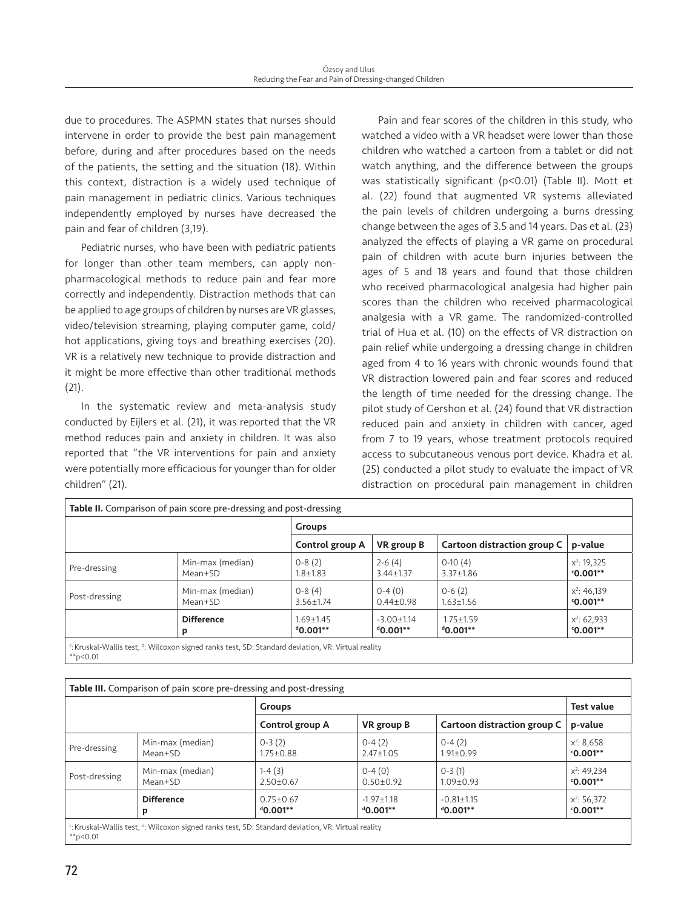due to procedures. The ASPMN states that nurses should intervene in order to provide the best pain management before, during and after procedures based on the needs of the patients, the setting and the situation (18). Within this context, distraction is a widely used technique of pain management in pediatric clinics. Various techniques independently employed by nurses have decreased the pain and fear of children (3,19).

Pediatric nurses, who have been with pediatric patients for longer than other team members, can apply nonpharmacological methods to reduce pain and fear more correctly and independently. Distraction methods that can be applied to age groups of children by nurses are VR glasses, video/television streaming, playing computer game, cold/ hot applications, giving toys and breathing exercises (20). VR is a relatively new technique to provide distraction and it might be more effective than other traditional methods (21).

In the systematic review and meta-analysis study conducted by Eijlers et al. (21), it was reported that the VR method reduces pain and anxiety in children. It was also reported that "the VR interventions for pain and anxiety were potentially more efficacious for younger than for older children" (21).

Pain and fear scores of the children in this study, who watched a video with a VR headset were lower than those children who watched a cartoon from a tablet or did not watch anything, and the difference between the groups was statistically significant (p<0.01) (Table II). Mott et al. (22) found that augmented VR systems alleviated the pain levels of children undergoing a burns dressing change between the ages of 3.5 and 14 years. Das et al. (23) analyzed the effects of playing a VR game on procedural pain of children with acute burn injuries between the ages of 5 and 18 years and found that those children who received pharmacological analgesia had higher pain scores than the children who received pharmacological analgesia with a VR game. The randomized-controlled trial of Hua et al. (10) on the effects of VR distraction on pain relief while undergoing a dressing change in children aged from 4 to 16 years with chronic wounds found that VR distraction lowered pain and fear scores and reduced the length of time needed for the dressing change. The pilot study of Gershon et al. (24) found that VR distraction reduced pain and anxiety in children with cancer, aged from 7 to 19 years, whose treatment protocols required access to subcutaneous venous port device. Khadra et al. (25) conducted a pilot study to evaluate the impact of VR distraction on procedural pain management in children

| <b>Table II.</b> Comparison of pain score pre-dressing and post-dressing |                                |                                    |                                 |                             |  |  |  |
|--------------------------------------------------------------------------|--------------------------------|------------------------------------|---------------------------------|-----------------------------|--|--|--|
|                                                                          | <b>Groups</b>                  |                                    |                                 |                             |  |  |  |
|                                                                          | Control group A                | VR group B                         | Cartoon distraction group C     | p-value                     |  |  |  |
| Min-max (median)<br>Mean+SD                                              | $0-8(2)$<br>$1.8 + 1.83$       | $2 - 6(4)$<br>$3.44 \pm 1.37$      | $0-10(4)$<br>$3.37 \pm 1.86$    | $x^2$ : 19,325<br>$0.001**$ |  |  |  |
| Min-max (median)<br>Mean+SD                                              | $0-8(4)$<br>$3.56 \pm 1.74$    | $0-4(0)$<br>$0.44 \pm 0.98$        | $0 - 6(2)$<br>$1.63 \pm 1.56$   | $x^2$ : 46,139<br>$0.001**$ |  |  |  |
| <b>Difference</b><br>D                                                   | $1.69 + 1.45$<br>$^{4}0.001**$ | $-3.00 \pm 1.14$<br>$^{d}$ 0.001** | $1.75 + 1.59$<br>$^{d}$ 0.001** | $x^2$ : 62,933<br>$0.001**$ |  |  |  |
|                                                                          |                                |                                    |                                 |                             |  |  |  |

: Kruskal-Wallis test, <sup>d</sup>: Wilcoxon signed ranks test, SD: Standard deviation, VR: Virtual reality  $*p<0.01$ 

| Table III. Comparison of pain score pre-dressing and post-dressing                                                         |                             |                                   |                                    |                                    |                             |  |  |  |
|----------------------------------------------------------------------------------------------------------------------------|-----------------------------|-----------------------------------|------------------------------------|------------------------------------|-----------------------------|--|--|--|
|                                                                                                                            |                             | <b>Groups</b>                     |                                    |                                    |                             |  |  |  |
|                                                                                                                            |                             | Control group A                   | <b>VR</b> group B                  | Cartoon distraction group C        | p-value                     |  |  |  |
| Pre-dressing                                                                                                               | Min-max (median)<br>Mean+SD | $0-3(2)$<br>$1.75 \pm 0.88$       | $0-4(2)$<br>$2.47 \pm 1.05$        | $0-4(2)$<br>$1.91 \pm 0.99$        | $x^2$ : 8,658<br>$0.001**$  |  |  |  |
| Post-dressing                                                                                                              | Min-max (median)<br>Mean+SD | $1-4(3)$<br>$2.50 \pm 0.67$       | $0-4(0)$<br>$0.50 \pm 0.92$        | $0-3(1)$<br>$1.09 \pm 0.93$        | $x^2$ : 49,234<br>$0.001**$ |  |  |  |
|                                                                                                                            | <b>Difference</b><br>P      | $0.75 \pm 0.67$<br>$^{d}$ 0.001** | $-1.97 \pm 1.18$<br>$^{d}$ 0.001** | $-0.81 \pm 1.15$<br>$^{d}$ 0.001** | $x^2$ : 56,372<br>$0.001**$ |  |  |  |
| <sup>c</sup> : Kruskal-Wallis test, <sup>d</sup> : Wilcoxon signed ranks test, SD: Standard deviation, VR: Virtual reality |                             |                                   |                                    |                                    |                             |  |  |  |

 $*$ <sub>p</sub><0.01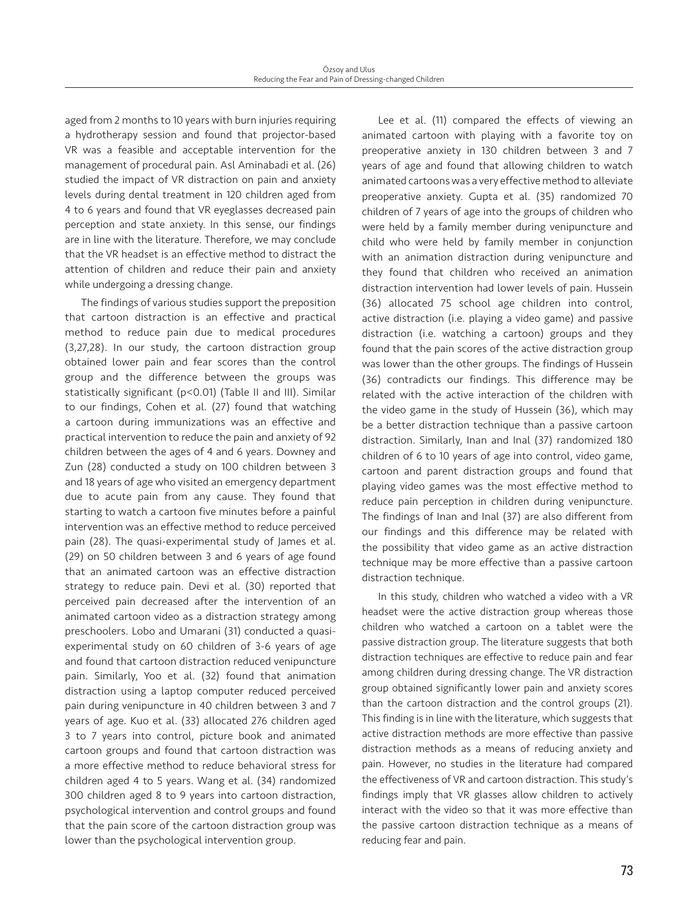aged from 2 months to 10 years with burn injuries requiring a hydrotherapy session and found that projector-based VR was a feasible and acceptable intervention for the management of procedural pain. Asl Aminabadi et al. (26) studied the impact of VR distraction on pain and anxiety levels during dental treatment in 120 children aged from 4 to 6 years and found that VR eyeglasses decreased pain perception and state anxiety. In this sense, our findings are in line with the literature. Therefore, we may conclude that the VR headset is an effective method to distract the attention of children and reduce their pain and anxiety while undergoing a dressing change.

The findings of various studies support the preposition that cartoon distraction is an effective and practical method to reduce pain due to medical procedures (3,27,28). In our study, the cartoon distraction group obtained lower pain and fear scores than the control group and the difference between the groups was statistically significant (p<0.01) (Table II and III). Similar to our findings, Cohen et al. (27) found that watching a cartoon during immunizations was an effective and practical intervention to reduce the pain and anxiety of 92 children between the ages of 4 and 6 years. Downey and Zun (28) conducted a study on 100 children between 3 and 18 years of age who visited an emergency department due to acute pain from any cause. They found that starting to watch a cartoon five minutes before a painful intervention was an effective method to reduce perceived pain (28). The quasi-experimental study of James et al. (29) on 50 children between 3 and 6 years of age found that an animated cartoon was an effective distraction strategy to reduce pain. Devi et al. (30) reported that perceived pain decreased after the intervention of an animated cartoon video as a distraction strategy among preschoolers. Lobo and Umarani (31) conducted a quasiexperimental study on 60 children of 3-6 years of age and found that cartoon distraction reduced venipuncture pain. Similarly, Yoo et al. (32) found that animation distraction using a laptop computer reduced perceived pain during venipuncture in 40 children between 3 and 7 years of age. Kuo et al. (33) allocated 276 children aged 3 to 7 years into control, picture book and animated cartoon groups and found that cartoon distraction was a more effective method to reduce behavioral stress for children aged 4 to 5 years. Wang et al. (34) randomized 300 children aged 8 to 9 years into cartoon distraction, psychological intervention and control groups and found that the pain score of the cartoon distraction group was lower than the psychological intervention group.

Lee et al. (11) compared the effects of viewing an animated cartoon with playing with a favorite toy on preoperative anxiety in 130 children between 3 and 7 years of age and found that allowing children to watch animated cartoons was a very effective method to alleviate preoperative anxiety. Gupta et al. (35) randomized 70 children of 7 years of age into the groups of children who were held by a family member during venipuncture and child who were held by family member in conjunction with an animation distraction during venipuncture and they found that children who received an animation distraction intervention had lower levels of pain. Hussein (36) allocated 75 school age children into control, active distraction (i.e. playing a video game) and passive distraction (i.e. watching a cartoon) groups and they found that the pain scores of the active distraction group was lower than the other groups. The findings of Hussein (36) contradicts our findings. This difference may be related with the active interaction of the children with the video game in the study of Hussein (36), which may be a better distraction technique than a passive cartoon distraction. Similarly, Inan and Inal (37) randomized 180 children of 6 to 10 years of age into control, video game, cartoon and parent distraction groups and found that playing video games was the most effective method to reduce pain perception in children during venipuncture. The findings of Inan and Inal (37) are also different from our findings and this difference may be related with the possibility that video game as an active distraction technique may be more effective than a passive cartoon distraction technique.

In this study, children who watched a video with a VR headset were the active distraction group whereas those children who watched a cartoon on a tablet were the passive distraction group. The literature suggests that both distraction techniques are effective to reduce pain and fear among children during dressing change. The VR distraction group obtained significantly lower pain and anxiety scores than the cartoon distraction and the control groups (21). This finding is in line with the literature, which suggests that active distraction methods are more effective than passive distraction methods as a means of reducing anxiety and pain. However, no studies in the literature had compared the effectiveness of VR and cartoon distraction. This study's findings imply that VR glasses allow children to actively interact with the video so that it was more effective than the passive cartoon distraction technique as a means of reducing fear and pain.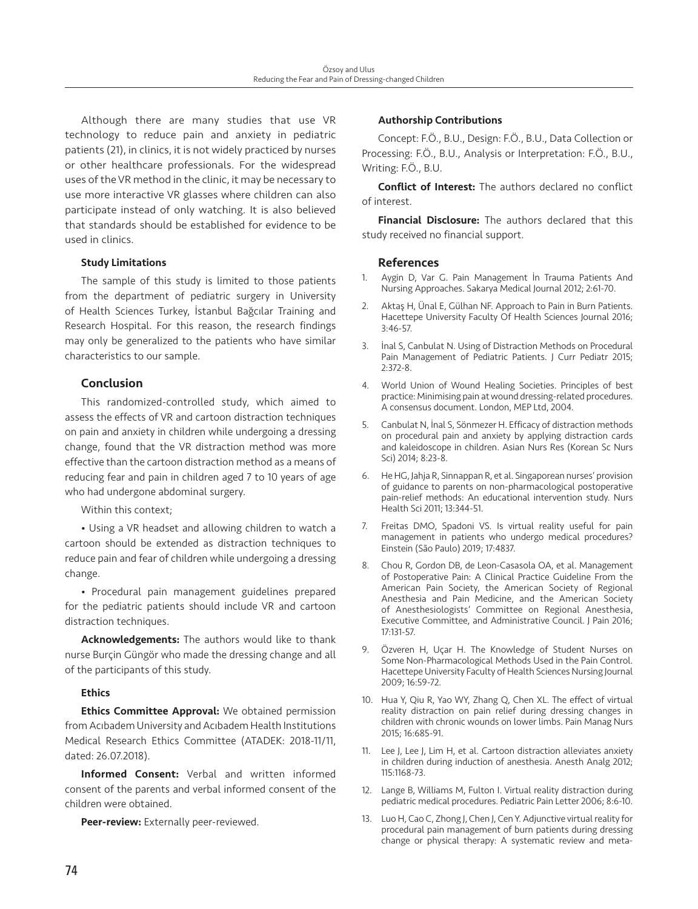Although there are many studies that use VR technology to reduce pain and anxiety in pediatric patients (21), in clinics, it is not widely practiced by nurses or other healthcare professionals. For the widespread uses of the VR method in the clinic, it may be necessary to use more interactive VR glasses where children can also participate instead of only watching. It is also believed that standards should be established for evidence to be used in clinics.

# Study Limitations

The sample of this study is limited to those patients from the department of pediatric surgery in University of Health Sciences Turkey, İstanbul Bağcılar Training and Research Hospital. For this reason, the research findings may only be generalized to the patients who have similar characteristics to our sample.

# Conclusion

This randomized-controlled study, which aimed to assess the effects of VR and cartoon distraction techniques on pain and anxiety in children while undergoing a dressing change, found that the VR distraction method was more effective than the cartoon distraction method as a means of reducing fear and pain in children aged 7 to 10 years of age who had undergone abdominal surgery.

Within this context;

• Using a VR headset and allowing children to watch a cartoon should be extended as distraction techniques to reduce pain and fear of children while undergoing a dressing change.

• Procedural pain management guidelines prepared for the pediatric patients should include VR and cartoon distraction techniques.

Acknowledgements: The authors would like to thank nurse Burçin Güngör who made the dressing change and all of the participants of this study.

## **Ethics**

Ethics Committee Approval: We obtained permission from Acıbadem University and Acıbadem Health Institutions Medical Research Ethics Committee (ATADEK: 2018-11/11, dated: 26.07.2018).

Informed Consent: Verbal and written informed consent of the parents and verbal informed consent of the children were obtained.

Peer-review: Externally peer-reviewed.

# Authorship Contributions

Concept: F.Ö., B.U., Design: F.Ö., B.U., Data Collection or Processing: F.Ö., B.U., Analysis or Interpretation: F.Ö., B.U., Writing: F.Ö., B.U.

Conflict of Interest: The authors declared no conflict of interest.

Financial Disclosure: The authors declared that this study received no financial support.

# References

- 1. Aygin D, Var G. Pain Management İn Trauma Patients And Nursing Approaches. Sakarya Medical Journal 2012; 2:61-70.
- 2. Aktaş H, Ünal E, Gülhan NF. Approach to Pain in Burn Patients. Hacettepe University Faculty Of Health Sciences Journal 2016; 3:46-57.
- 3. İnal S, Canbulat N. Using of Distraction Methods on Procedural Pain Management of Pediatric Patients. J Curr Pediatr 2015; 2:372-8.
- 4. World Union of Wound Healing Societies. Principles of best practice: Minimising pain at wound dressing-related procedures. A consensus document. London, MEP Ltd, 2004.
- 5. Canbulat N, İnal S, Sönmezer H. Efficacy of distraction methods on procedural pain and anxiety by applying distraction cards and kaleidoscope in children. Asian Nurs Res (Korean Sc Nurs Sci) 2014; 8:23-8.
- 6. He HG, Jahja R, Sinnappan R, et al. Singaporean nurses' provision of guidance to parents on non-pharmacological postoperative pain-relief methods: An educational intervention study. Nurs Health Sci 2011; 13:344-51.
- Freitas DMO, Spadoni VS. Is virtual reality useful for pain management in patients who undergo medical procedures? Einstein (São Paulo) 2019; 17:4837.
- 8. Chou R, Gordon DB, de Leon-Casasola OA, et al. Management of Postoperative Pain: A Clinical Practice Guideline From the American Pain Society, the American Society of Regional Anesthesia and Pain Medicine, and the American Society of Anesthesiologists' Committee on Regional Anesthesia, Executive Committee, and Administrative Council. J Pain 2016; 17:131-57.
- 9. Özveren H, Uçar H. The Knowledge of Student Nurses on Some Non-Pharmacological Methods Used in the Pain Control. Hacettepe University Faculty of Health Sciences Nursing Journal 2009; 16:59-72.
- 10. Hua Y, Qiu R, Yao WY, Zhang Q, Chen XL. The effect of virtual reality distraction on pain relief during dressing changes in children with chronic wounds on lower limbs. Pain Manag Nurs 2015; 16:685-91.
- 11. Lee J, Lee J, Lim H, et al. Cartoon distraction alleviates anxiety in children during induction of anesthesia. Anesth Analg 2012; 115:1168-73.
- 12. Lange B, Williams M, Fulton I. Virtual reality distraction during pediatric medical procedures. Pediatric Pain Letter 2006; 8:6-10.
- 13. Luo H, Cao C, Zhong J, Chen J, Cen Y. Adjunctive virtual reality for procedural pain management of burn patients during dressing change or physical therapy: A systematic review and meta-